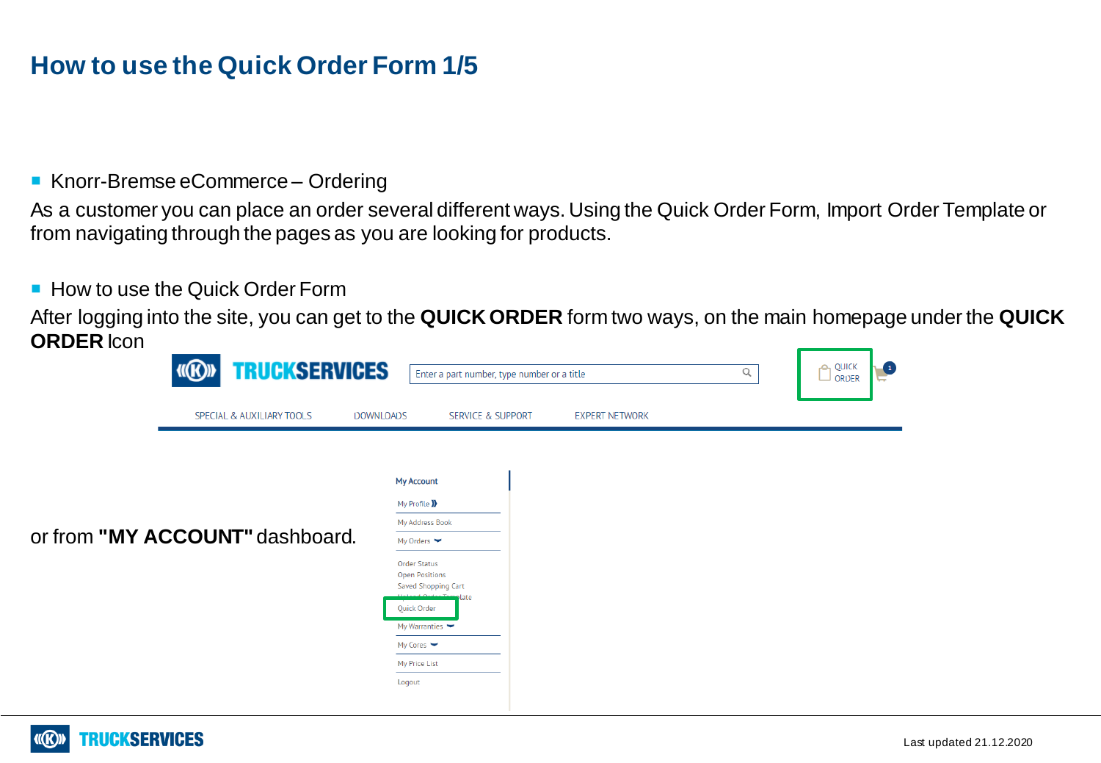### **How to use the Quick Order Form 1/5**

#### ■ Knorr-Bremse eCommerce – Ordering

As a customer you can place an order several different ways. Using the Quick Order Form, Import Order Template or from navigating through the pages as you are looking for products.

#### ■ How to use the Quick Order Form

After logging into the site, you can get to the **QUICK ORDER** form two ways, on the main homepage under the **QUICK ORDER** Icon

| 01 - 12 - 12 12 12 12 | <b>TRUCKSERVICES</b><br><b>IIIE</b> | <sub>r</sub> e <sub>1</sub> QUICK<br>Q<br>Enter a part number, type number or a title<br>$\Box$ order                                                                                                                                                                                                                    | O<br>ᄃ |
|-----------------------|-------------------------------------|--------------------------------------------------------------------------------------------------------------------------------------------------------------------------------------------------------------------------------------------------------------------------------------------------------------------------|--------|
|                       | SPECIAL & AUXILIARY TOOLS           | <b>DOWNLOADS</b><br><b>SERVICE &amp; SUPPORT</b><br><b>EXPERT NETWORK</b>                                                                                                                                                                                                                                                |        |
|                       | or from "MY ACCOUNT" dashboard.     | <b>My Account</b><br>My Profile D<br>My Address Book<br>My Orders $\blacktriangleright$<br><b>Order Status</b><br><b>Open Positions</b><br>Saved Shopping Cart<br>late و مع <u>مله معامله م</u> ملحات<br>Quick Order<br>My Warranties $\blacktriangleright$<br>My Cores $\blacktriangleright$<br>My Price List<br>Logout |        |

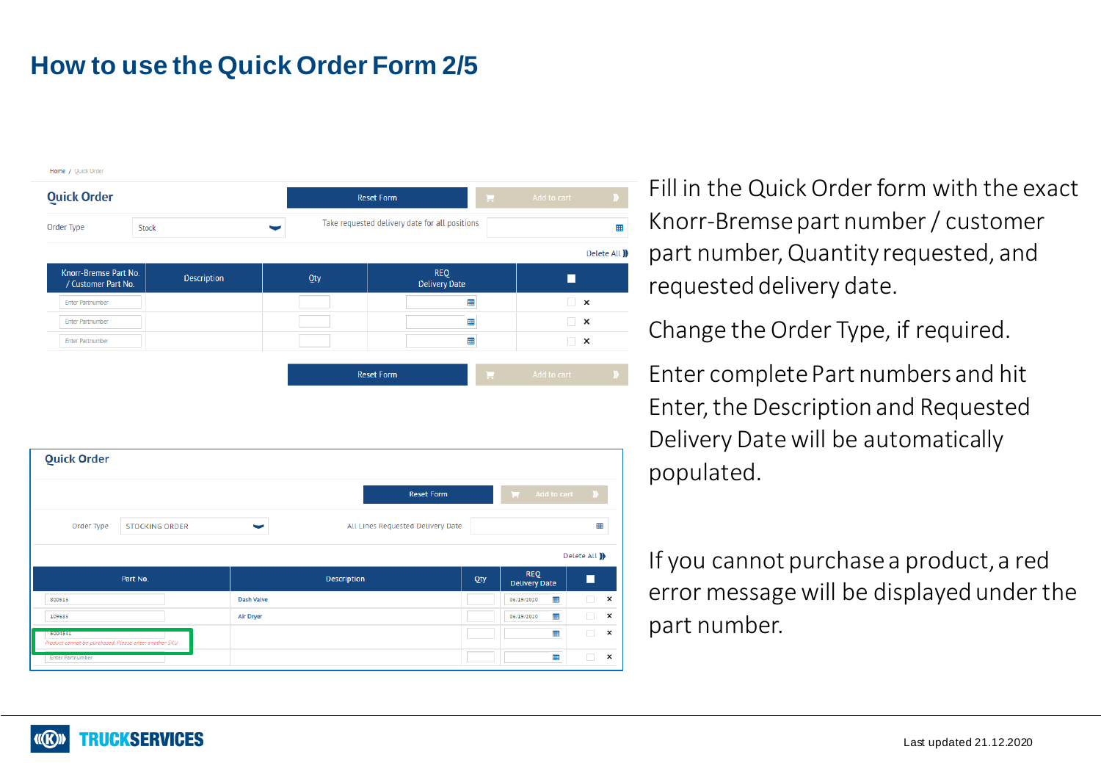# **How to use the Quick Order Form 2/5**

| Add to cart                       | E | <b>Reset Form</b>                              |     | <b>Quick Order</b>         |                                              |
|-----------------------------------|---|------------------------------------------------|-----|----------------------------|----------------------------------------------|
| 冊                                 |   | Take requested delivery date for all positions |     | Order Type<br><b>Stock</b> |                                              |
| Delete All )                      |   |                                                |     |                            |                                              |
|                                   |   | <b>REQ</b><br><b>Delivery Date</b>             | Qty | <b>Description</b>         | Knorr-Bremse Part No.<br>/ Customer Part No. |
|                                   |   |                                                |     |                            |                                              |
| $\overline{\phantom{a}}$ $\times$ |   | 冊                                              |     |                            | <b>Enter Partnumber</b>                      |
| $\Box$<br>×                       |   | 冊                                              |     |                            | <b>Enter Partnumber</b>                      |

**Reset Form** 

| <b>Quick Order</b>                                               |          |                   |                                   |                   |                                    |                                     |  |  |
|------------------------------------------------------------------|----------|-------------------|-----------------------------------|-------------------|------------------------------------|-------------------------------------|--|--|
|                                                                  |          |                   |                                   | <b>Reset Form</b> |                                    | $\sim$<br>Add to cart               |  |  |
| Order Type<br><b>STOCKING ORDER</b>                              |          |                   | All Lines Requested Delivery Date |                   |                                    | 用                                   |  |  |
|                                                                  |          |                   |                                   |                   |                                    | Delete All )                        |  |  |
|                                                                  | Part No. |                   | <b>Description</b>                | Qty               | <b>REQ</b><br><b>Delivery Date</b> | $\blacksquare$                      |  |  |
| 800516                                                           |          | <b>Dash Valve</b> |                                   |                   | ⊞<br>06/19/2020                    | $\boldsymbol{\mathsf{x}}$           |  |  |
| 109685                                                           |          | Air Dryer         |                                   |                   | ₩<br>06/19/2020                    | $\Box$<br>$\boldsymbol{\mathsf{x}}$ |  |  |
| 5004541<br>Product cannot be purchased. Please enter another SKU |          |                   |                                   |                   | ▦                                  | $\Box$<br>$\boldsymbol{\mathsf{x}}$ |  |  |
|                                                                  |          |                   |                                   |                   |                                    |                                     |  |  |

Fill in the Quick Order form with the exact Knorr-Bremsepart number / customer part number, Quantity requested, and requested delivery date.

Change the Order Type, if required.

Enter complete Part numbers and hit Enter, the Description and Requested Delivery Date will be automatically populated.

If you cannot purchase a product, a red error message will be displayed under the part number.

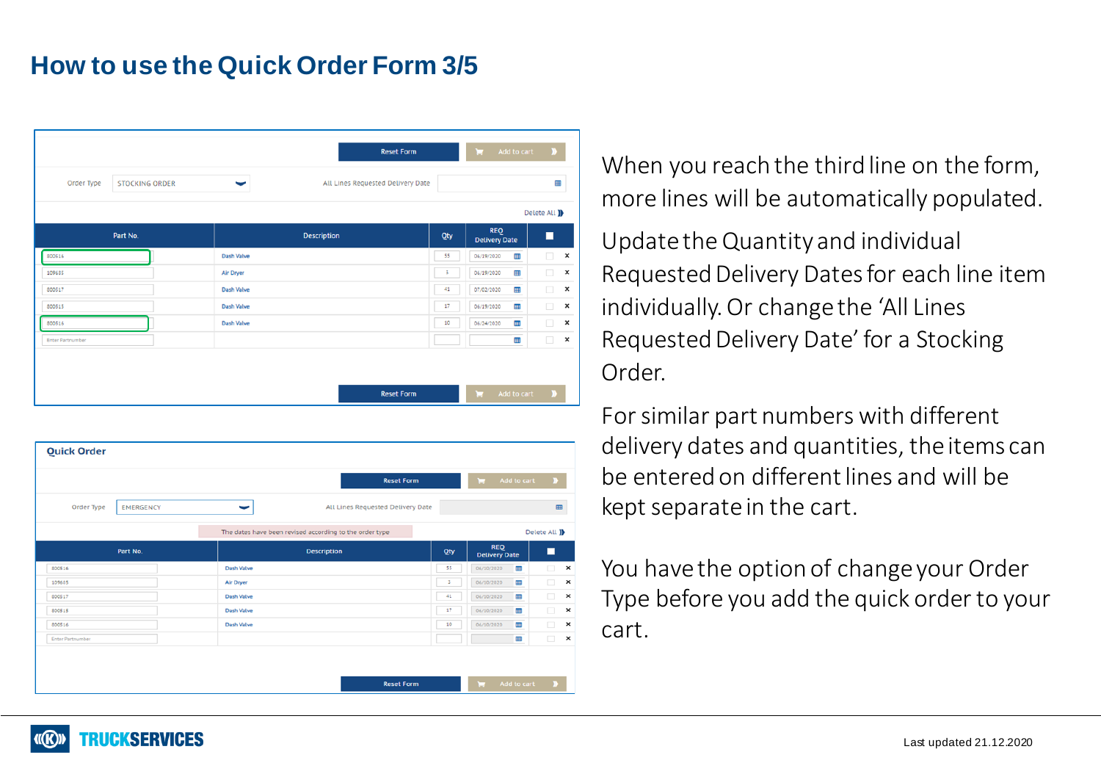### **How to use the Quick Order Form 3/5**

| 囲            |                                    |        | All Lines Requested Delivery Date | <b>STOCKING ORDER</b> | Order Type              |
|--------------|------------------------------------|--------|-----------------------------------|-----------------------|-------------------------|
| Delete All ) |                                    |        |                                   |                       |                         |
| П            | <b>REQ</b><br><b>Delivery Date</b> | Qty    | <b>Description</b>                | Part No.              |                         |
| $\Box$       | 88<br>06/19/2020                   | 55     | Dash Valve                        |                       | 800516                  |
| $\Box$       | m<br>06/19/2020                    | 3      | Air Dryer                         |                       | 109685                  |
| $\Box$       | 田<br>07/02/2020                    | 41     | <b>Dash Valve</b>                 |                       | 800517                  |
| $\Box$       | 用<br>06/19/2020                    | $17\,$ | <b>Dash Valve</b>                 |                       | 800515                  |
| $\Box$       | ⊞<br>06/24/2020                    | 10     | <b>Dash Valve</b>                 |                       | 800516                  |
| $\Box$       | m                                  |        |                                   |                       | <b>Enter Partnumber</b> |

| <b>Quick Order</b>      |                   |                                                         |                |                                    |              |
|-------------------------|-------------------|---------------------------------------------------------|----------------|------------------------------------|--------------|
|                         | <b>Reset Form</b> |                                                         |                | $\mathbf{r}$<br>Add to cart        | D            |
| Order Type              | <b>EMERGENCY</b>  | All Lines Requested Delivery Date<br>ļ                  |                |                                    | Œ            |
|                         |                   | The dates have been revised according to the order type |                |                                    | Delete All ) |
|                         | Part No.          | <b>Description</b>                                      | Qty            | <b>REQ</b><br><b>Delivery Date</b> | П            |
| 800516                  |                   | <b>Dash Valve</b>                                       | 55             | <b>III</b><br>06/10/2020           | $\Box$       |
| 109685                  |                   | Air Dryer                                               | $\overline{5}$ | <b>III</b><br>06/10/2020           | $\Box$       |
| 800517                  |                   | <b>Dash Valve</b>                                       | 41             | <b>III</b><br>06/10/2020           | $\Box$       |
| 800515                  |                   | <b>Dash Valve</b>                                       | 17             | <b>III</b><br>06/10/2020           | $\Box$       |
| 800516                  |                   | Dash Valve                                              | 10             | m<br>06/10/2020                    | $\Box$       |
| <b>Enter Partnumber</b> |                   |                                                         |                | 88                                 | $\Box$       |

When you reach the third line on the form, more lines will be automatically populated.

Update the Quantity and individual Requested Delivery Dates for each line item individually. Or change the 'All Lines Requested Delivery Date' for a Stocking Order.

For similar part numbers with different delivery dates and quantities, the items can be entered on different lines and will be kept separate in the cart.

You have the option of change your Order Type before you add the quick order to your cart.

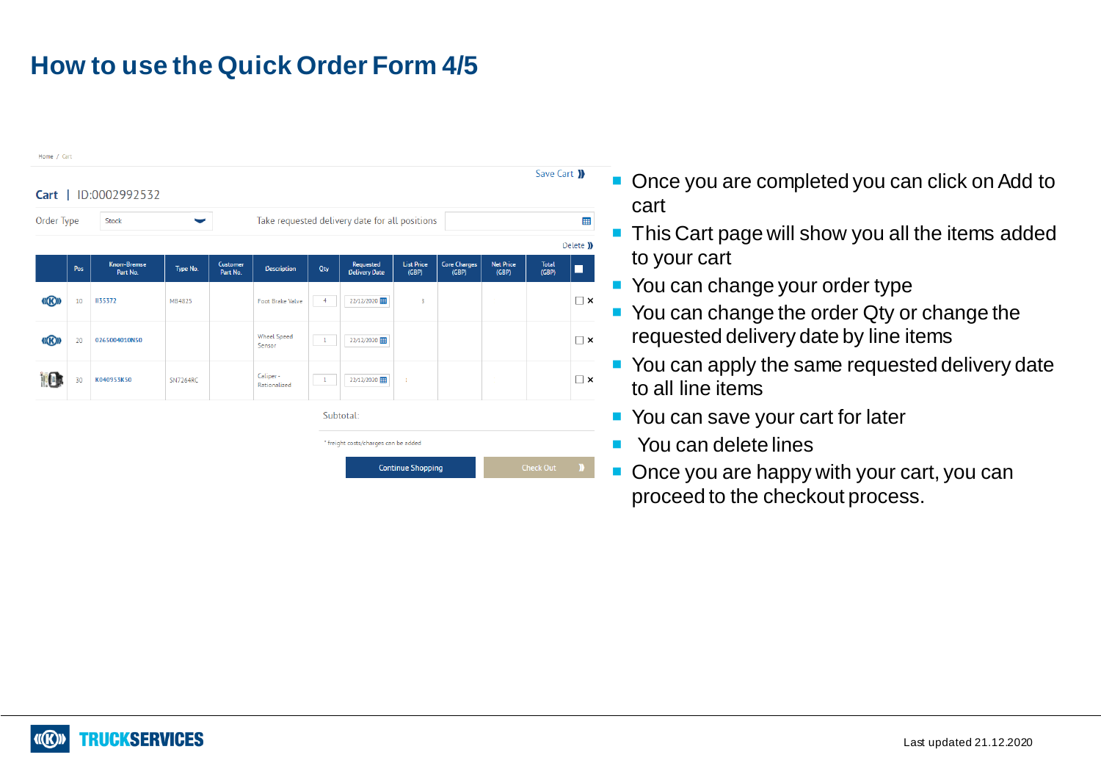# **How to use the Quick Order Form 4/5**



- Once you are completed you can click on Add to cart
- **This Cart page will show you all the items added** to your cart
- You can change your order type
- You can change the order Qty or change the requested delivery date by line items
- You can apply the same requested delivery date to all line items
- You can save your cart for later
- **Nou can delete lines**
- Once you are happy with your cart, you can proceed to the checkout process.